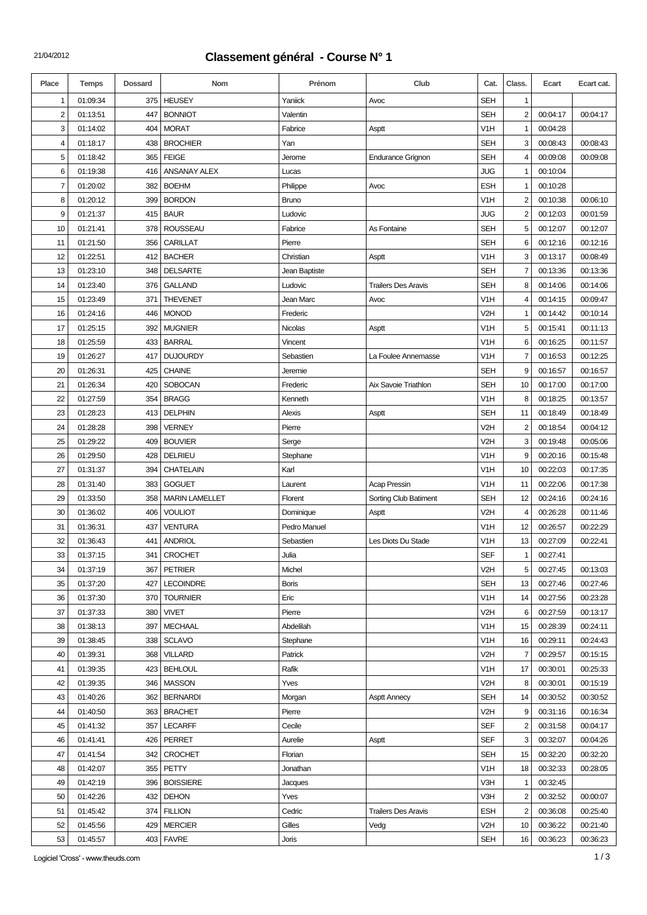## 21/04/2012 **Classement général - Course N° 1**

| Place | <b>Temps</b> | <b>Dossard</b> | Nom                   | Prénom        | Club                       | Cat.             | Class.                  | Ecart    | Ecart cat. |
|-------|--------------|----------------|-----------------------|---------------|----------------------------|------------------|-------------------------|----------|------------|
| 1     | 01:09:34     | 375            | <b>HEUSEY</b>         | Yaniick       | Avoc                       | <b>SEH</b>       | 1                       |          |            |
| 2     | 01:13:51     | 447            | <b>BONNIOT</b>        | Valentin      |                            | <b>SEH</b>       | $\overline{c}$          | 00:04:17 | 00:04:17   |
| 3     | 01:14:02     | 404            | <b>MORAT</b>          | Fabrice       | Asptt                      | V <sub>1</sub> H | 1                       | 00:04:28 |            |
| 4     | 01:18:17     | 438            | <b>BROCHIER</b>       | Yan           |                            | <b>SEH</b>       | 3                       | 00:08:43 | 00:08:43   |
| 5     | 01:18:42     | 365            | <b>FEIGE</b>          | Jerome        | <b>Endurance Grignon</b>   | <b>SEH</b>       | 4                       | 00:09:08 | 00:09:08   |
| 6     | 01:19:38     | 416            | ANSANAY ALEX          | Lucas         |                            | JUG              | 1                       | 00:10:04 |            |
| 7     | 01:20:02     | 382            | <b>BOEHM</b>          | Philippe      | Avoc                       | <b>ESH</b>       | 1                       | 00:10:28 |            |
| 8     | 01:20:12     | 399            | <b>BORDON</b>         | <b>Bruno</b>  |                            | V <sub>1</sub> H | 2                       | 00:10:38 | 00:06:10   |
| 9     | 01:21:37     | 415            | <b>BAUR</b>           | Ludovic       |                            | JUG              | $\overline{2}$          | 00:12:03 | 00:01:59   |
| 10    | 01:21:41     | 378            | <b>ROUSSEAU</b>       | Fabrice       | As Fontaine                | <b>SEH</b>       | 5                       | 00:12:07 | 00:12:07   |
| 11    | 01:21:50     | 356            | CARILLAT              | Pierre        |                            | <b>SEH</b>       | 6                       | 00:12:16 | 00:12:16   |
| 12    | 01:22:51     | 412            | <b>BACHER</b>         | Christian     | Asptt                      | V <sub>1</sub> H | 3                       | 00:13:17 | 00:08:49   |
| 13    | 01:23:10     | 348            | <b>DELSARTE</b>       | Jean Baptiste |                            | <b>SEH</b>       | 7                       | 00:13:36 | 00:13:36   |
| 14    | 01:23:40     | 376            | <b>GALLAND</b>        | Ludovic       | <b>Trailers Des Aravis</b> | <b>SEH</b>       | 8                       | 00:14:06 | 00:14:06   |
| 15    | 01:23:49     | 371            | <b>THEVENET</b>       | Jean Marc     | Avoc                       | V <sub>1</sub> H | $\overline{4}$          | 00:14:15 | 00:09:47   |
| 16    | 01:24:16     | 446            | <b>MONOD</b>          | Frederic      |                            | V <sub>2</sub> H | 1                       | 00:14:42 | 00:10:14   |
| 17    | 01:25:15     | 392            | <b>MUGNIER</b>        | Nicolas       | Asptt                      | V <sub>1</sub> H | 5                       | 00:15:41 | 00:11:13   |
| 18    | 01:25:59     | 433            | <b>BARRAL</b>         | Vincent       |                            | V <sub>1</sub> H | 6                       | 00:16:25 | 00:11:57   |
| 19    | 01:26:27     | 417            | <b>DUJOURDY</b>       | Sebastien     | La Foulee Annemasse        | V <sub>1</sub> H | $\overline{7}$          | 00:16:53 | 00:12:25   |
| 20    | 01:26:31     | 425            | <b>CHAINE</b>         | Jeremie       |                            | <b>SEH</b>       | 9                       | 00:16:57 | 00:16:57   |
| 21    | 01:26:34     | 420            | <b>SOBOCAN</b>        | Frederic      | Aix Savoie Triathlon       | <b>SEH</b>       | 10                      | 00:17:00 | 00:17:00   |
| 22    | 01:27:59     | 354            | <b>BRAGG</b>          | Kenneth       |                            | V <sub>1</sub> H | 8                       | 00:18:25 | 00:13:57   |
| 23    | 01:28:23     | 413            | <b>DELPHIN</b>        | Alexis        | Asptt                      | <b>SEH</b>       | 11                      | 00:18:49 | 00:18:49   |
| 24    | 01:28:28     | 398            | <b>VERNEY</b>         | Pierre        |                            | V <sub>2</sub> H | $\overline{c}$          | 00:18:54 | 00:04:12   |
| 25    | 01:29:22     | 409            | <b>BOUVIER</b>        | Serge         |                            | V <sub>2</sub> H | 3                       | 00:19:48 | 00:05:06   |
| 26    | 01:29:50     | 428            | DELRIEU               | Stephane      |                            | V <sub>1</sub> H | 9                       | 00:20:16 | 00:15:48   |
| 27    | 01:31:37     | 394            | <b>CHATELAIN</b>      | Karl          |                            | V <sub>1</sub> H | 10                      | 00:22:03 | 00:17:35   |
| 28    | 01:31:40     | 383            | <b>GOGUET</b>         | Laurent       | <b>Acap Pressin</b>        | V <sub>1</sub> H | 11                      | 00:22:06 | 00:17:38   |
| 29    | 01:33:50     | 358            | <b>MARIN LAMELLET</b> | Florent       | Sorting Club Batiment      | <b>SEH</b>       | 12                      | 00:24:16 | 00:24:16   |
| 30    | 01:36:02     | 406            | <b>VOULIOT</b>        | Dominique     | Asptt                      | V <sub>2</sub> H | $\overline{4}$          | 00:26:28 | 00:11:46   |
| 31    | 01:36:31     | 437            | <b>VENTURA</b>        | Pedro Manuel  |                            | V <sub>1</sub> H | 12                      | 00:26:57 | 00:22:29   |
| 32    | 01:36:43     | 441            | <b>ANDRIOL</b>        | Sebastien     | Les Diots Du Stade         | V <sub>1</sub> H | 13                      | 00:27:09 | 00:22:41   |
| 33    | 01:37:15     | 341            | <b>CROCHET</b>        | Julia         |                            | <b>SEF</b>       | $\mathbf{1}$            | 00:27:41 |            |
| 34    | 01:37:19     | 367            | <b>PETRIER</b>        | Michel        |                            | V <sub>2</sub> H | 5                       | 00:27:45 | 00:13:03   |
| 35    | 01:37:20     | 427            | <b>LECOINDRE</b>      | <b>Boris</b>  |                            | <b>SEH</b>       | 13                      | 00:27:46 | 00:27:46   |
| 36    | 01:37:30     | 370            | <b>TOURNIER</b>       | Eric          |                            | V <sub>1</sub> H | 14                      | 00:27:56 | 00:23:28   |
| 37    | 01:37:33     | 380            | <b>VIVET</b>          | Pierre        |                            | V <sub>2</sub> H | 6                       | 00:27:59 | 00:13:17   |
| 38    | 01:38:13     | 397            | <b>MECHAAL</b>        | Abdelilah     |                            | V <sub>1</sub> H | 15                      | 00:28:39 | 00:24:11   |
| 39    | 01:38:45     | 338            | <b>SCLAVO</b>         | Stephane      |                            | V <sub>1</sub> H | 16                      | 00:29:11 | 00:24:43   |
| 40    | 01:39:31     | 368            | <b>VILLARD</b>        | Patrick       |                            | V <sub>2</sub> H | 7                       | 00:29:57 | 00:15:15   |
| 41    | 01:39:35     | 423            | <b>BEHLOUL</b>        | Rafik         |                            | V <sub>1</sub> H | 17                      | 00:30:01 | 00:25:33   |
| 42    | 01:39:35     | 346            | <b>MASSON</b>         | Yves          |                            | V <sub>2</sub> H | 8                       | 00:30:01 | 00:15:19   |
| 43    | 01:40:26     | 362            | <b>BERNARDI</b>       | Morgan        | <b>Asptt Annecy</b>        | <b>SEH</b>       | 14                      | 00:30:52 | 00:30:52   |
| 44    | 01:40:50     | 363            | <b>BRACHET</b>        | Pierre        |                            | V <sub>2</sub> H | 9                       | 00:31:16 | 00:16:34   |
| 45    | 01:41:32     | 357            | <b>LECARFF</b>        | Cecile        |                            | <b>SEF</b>       | $\overline{\mathbf{c}}$ | 00:31:58 | 00:04:17   |
| 46    | 01:41:41     | 426            | PERRET                | Aurelie       | Asptt                      | <b>SEF</b>       | 3                       | 00:32:07 | 00:04:26   |
| 47    | 01:41:54     | 342            | <b>CROCHET</b>        | Florian       |                            | <b>SEH</b>       | 15                      | 00:32:20 | 00:32:20   |
| 48    | 01:42:07     | 355            | PETTY                 | Jonathan      |                            | V <sub>1</sub> H | 18                      | 00:32:33 | 00:28:05   |
| 49    | 01:42:19     | 396            | <b>BOISSIERE</b>      | Jacques       |                            | V3H              | $\mathbf{1}$            | 00:32:45 |            |
| 50    | 01:42:26     | 432            | <b>DEHON</b>          | Yves          |                            | V3H              | 2                       | 00:32:52 | 00:00:07   |
| 51    | 01:45:42     | 374            | <b>FILLION</b>        | Cedric        | <b>Trailers Des Aravis</b> | <b>ESH</b>       | $\overline{2}$          | 00:36:08 | 00:25:40   |
| 52    | 01:45:56     | 429            | <b>MERCIER</b>        | Gilles        | Vedg                       | V <sub>2</sub> H | 10                      | 00:36:22 | 00:21:40   |
| 53    | 01:45:57     | 403            | <b>FAVRE</b>          | Joris         |                            | <b>SEH</b>       | 16                      | 00:36:23 | 00:36:23   |

Logiciel 'Cross' - www.theuds.com 1/3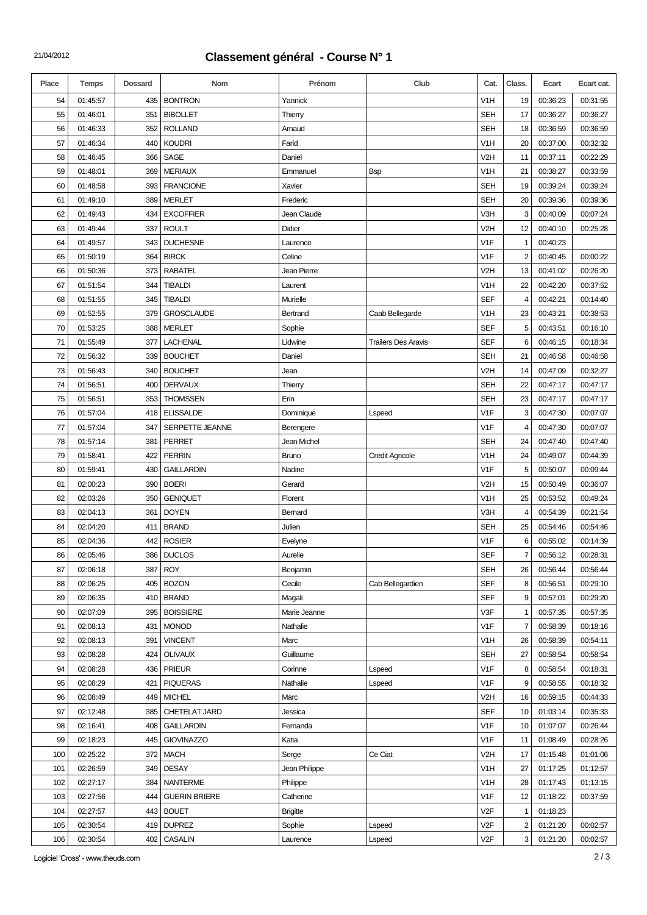## 21/04/2012 **Classement général - Course N° 1**

| Place | Temps    | <b>Dossard</b> | Nom                  | Prénom          | Club                       | Cat.             | Class.         | Ecart    | Ecart cat. |
|-------|----------|----------------|----------------------|-----------------|----------------------------|------------------|----------------|----------|------------|
| 54    | 01:45:57 | 435            | <b>BONTRON</b>       | Yannick         |                            | V1H              | 19             | 00:36:23 | 00:31:55   |
| 55    | 01:46:01 | 351            | <b>BIBOLLET</b>      | Thierry         |                            | <b>SEH</b>       | 17             | 00:36:27 | 00:36:27   |
| 56    | 01:46:33 | 352            | <b>ROLLAND</b>       | Arnaud          |                            | <b>SEH</b>       | 18             | 00:36:59 | 00:36:59   |
| 57    | 01:46:34 | 440            | <b>KOUDRI</b>        | Farid           |                            | V <sub>1</sub> H | 20             | 00:37:00 | 00:32:32   |
| 58    | 01:46:45 | 366            | SAGE                 | Daniel          |                            | V <sub>2</sub> H | 11             | 00:37:11 | 00:22:29   |
| 59    | 01:48:01 | 369            | <b>MERIAUX</b>       | Emmanuel        | <b>B</b> sp                | V <sub>1</sub> H | 21             | 00:38:27 | 00:33:59   |
| 60    | 01:48:58 | 393            | <b>FRANCIONE</b>     | Xavier          |                            | <b>SEH</b>       | 19             | 00:39:24 | 00:39:24   |
| 61    | 01:49:10 | 389            | <b>MERLET</b>        | Frederic        |                            | <b>SEH</b>       | 20             | 00:39:36 | 00:39:36   |
| 62    | 01:49:43 | 434            | <b>EXCOFFIER</b>     | Jean Claude     |                            | V3H              | 3              | 00:40:09 | 00:07:24   |
| 63    | 01:49:44 | 337            | <b>ROULT</b>         | Didier          |                            | V <sub>2</sub> H | 12             | 00:40:10 | 00:25:28   |
| 64    | 01:49:57 | 343            | <b>DUCHESNE</b>      | Laurence        |                            | V <sub>1</sub> F | 1              | 00:40:23 |            |
| 65    | 01:50:19 | 364            | <b>BIRCK</b>         | Celine          |                            | V <sub>1</sub> F | $\overline{2}$ | 00:40:45 | 00:00:22   |
| 66    | 01:50:36 | 373            | <b>RABATEL</b>       | Jean Pierre     |                            | V2H              | 13             | 00:41:02 | 00:26:20   |
| 67    | 01:51:54 | 344            | <b>TIBALDI</b>       | Laurent         |                            | V <sub>1</sub> H | 22             | 00:42:20 | 00:37:52   |
| 68    | 01:51:55 | 345            | <b>TIBALDI</b>       | Murielle        |                            | <b>SEF</b>       | 4              | 00:42:21 | 00:14:40   |
| 69    | 01:52:55 | 379            | <b>GROSCLAUDE</b>    | Bertrand        | Caab Bellegarde            | V <sub>1</sub> H | 23             | 00:43:21 | 00:38:53   |
| 70    | 01:53:25 | 388            | <b>MERLET</b>        | Sophie          |                            | <b>SEF</b>       | 5              | 00:43:51 | 00:16:10   |
| 71    | 01:55:49 | 377            | <b>LACHENAL</b>      | Lidwine         | <b>Trailers Des Aravis</b> | <b>SEF</b>       | 6              | 00:46:15 | 00:18:34   |
| 72    | 01:56:32 | 339            | <b>BOUCHET</b>       | Daniel          |                            | <b>SEH</b>       | 21             | 00:46:58 | 00:46:58   |
| 73    | 01:56:43 | 340            | <b>BOUCHET</b>       | Jean            |                            | V <sub>2</sub> H | 14             | 00:47:09 | 00:32:27   |
| 74    | 01:56:51 | 400            | <b>DERVAUX</b>       | Thierry         |                            | <b>SEH</b>       | 22             | 00:47:17 | 00:47:17   |
| 75    | 01:56:51 | 353            | <b>THOMSSEN</b>      | Erin            |                            | <b>SEH</b>       | 23             | 00:47:17 | 00:47:17   |
| 76    | 01:57:04 | 418            | <b>ELISSALDE</b>     | Dominique       | Lspeed                     | V <sub>1</sub> F | 3              | 00:47:30 | 00:07:07   |
| 77    | 01:57:04 | 347            | SERPETTE JEANNE      | Berengere       |                            | V <sub>1</sub> F | 4              | 00:47:30 | 00:07:07   |
| 78    | 01:57:14 | 381            | <b>PERRET</b>        | Jean Michel     |                            | <b>SEH</b>       | 24             | 00:47:40 | 00:47:40   |
| 79    | 01:58:41 | 422            | <b>PERRIN</b>        | <b>Bruno</b>    | <b>Credit Agricole</b>     | V <sub>1</sub> H | 24             | 00:49:07 | 00:44:39   |
| 80    | 01:59:41 | 430            | <b>GAILLARDIN</b>    | Nadine          |                            | V <sub>1</sub> F | 5              | 00:50:07 | 00:09:44   |
| 81    | 02:00:23 | 390            | <b>BOERI</b>         | Gerard          |                            | V <sub>2</sub> H | 15             | 00:50:49 | 00:36:07   |
| 82    | 02:03:26 | 350            | <b>GENIQUET</b>      | Florent         |                            | V1H              | 25             | 00:53:52 | 00:49:24   |
| 83    | 02:04:13 | 361            | <b>DOYEN</b>         | Bernard         |                            | V3H              | 4              | 00:54:39 | 00:21:54   |
| 84    | 02:04:20 | 411            | <b>BRAND</b>         | Julien          |                            | <b>SEH</b>       | 25             | 00:54:46 | 00:54:46   |
| 85    | 02:04:36 | 442            | <b>ROSIER</b>        | Evelyne         |                            | V <sub>1</sub> F | 6              | 00:55:02 | 00:14:39   |
| 86    | 02:05:46 | 386            | <b>DUCLOS</b>        | Aurelie         |                            | <b>SEF</b>       | $\overline{7}$ | 00:56:12 | 00:28:31   |
| 87    | 02:06:18 | 387            | <b>ROY</b>           | Benjamin        |                            | <b>SEH</b>       | 26             | 00:56:44 | 00:56:44   |
| 88    | 02:06:25 | 405            | <b>BOZON</b>         | Cecile          | Cab Bellegardien           | <b>SEF</b>       | 8              | 00:56:51 | 00:29:10   |
| 89    | 02:06:35 | 410            | <b>BRAND</b>         | Magali          |                            | <b>SEF</b>       | 9              | 00:57:01 | 00:29:20   |
| 90    | 02:07:09 | 395            | <b>BOISSIERE</b>     | Marie Jeanne    |                            | V3F              | $\mathbf{1}$   | 00:57:35 | 00:57:35   |
| 91    | 02:08:13 | 431            | <b>MONOD</b>         | Nathalie        |                            | V <sub>1</sub> F | $\overline{7}$ | 00:58:39 | 00:18:16   |
| 92    | 02:08:13 | 391            | <b>VINCENT</b>       | Marc            |                            | V1H              | 26             | 00:58:39 | 00:54:11   |
| 93    | 02:08:28 | 424            | <b>OLIVAUX</b>       | Guillaume       |                            | <b>SEH</b>       | 27             | 00:58:54 | 00:58:54   |
| 94    | 02:08:28 | 436            | <b>PRIEUR</b>        | Corinne         | Lspeed                     | V <sub>1</sub> F | 8              | 00:58:54 | 00:18:31   |
| 95    | 02:08:29 | 421            | <b>PIQUERAS</b>      | Nathalie        | Lspeed                     | V <sub>1</sub> F | 9              | 00:58:55 | 00:18:32   |
| 96    | 02:08:49 | 449            | <b>MICHEL</b>        | Marc            |                            | V <sub>2</sub> H | 16             | 00:59:15 | 00:44:33   |
| 97    | 02:12:48 | 385            | CHETELAT JARD        | Jessica         |                            | <b>SEF</b>       | 10             | 01:03:14 | 00:35:33   |
| 98    | 02:16:41 | 408            | <b>GAILLARDIN</b>    | Fernanda        |                            | V <sub>1</sub> F | 10             | 01:07:07 | 00:26:44   |
| 99    | 02:18:23 | 445            | <b>GIOVINAZZO</b>    | Katia           |                            | V <sub>1</sub> F | 11             | 01:08:49 | 00:28:26   |
| 100   | 02:25:22 | 372            | <b>MACH</b>          | Serge           | Ce Ciat                    | V <sub>2</sub> H | 17             | 01:15:48 | 01:01:06   |
| 101   | 02:26:59 | 349            | <b>DESAY</b>         | Jean Philippe   |                            | V <sub>1</sub> H | 27             | 01:17:25 | 01:12:57   |
| 102   | 02:27:17 | 384            | <b>NANTERME</b>      | Philippe        |                            | V <sub>1</sub> H | 28             | 01:17:43 | 01:13:15   |
| 103   | 02:27:56 | 444            | <b>GUERIN BRIERE</b> | Catherine       |                            | V <sub>1</sub> F | 12             | 01:18:22 | 00:37:59   |
| 104   | 02:27:57 | 443            | <b>BOUET</b>         | <b>Brigitte</b> |                            | V <sub>2</sub> F | 1              | 01:18:23 |            |
| 105   | 02:30:54 | 419            | <b>DUPREZ</b>        | Sophie          | Lspeed                     | V <sub>2F</sub>  | $\overline{2}$ | 01:21:20 | 00:02:57   |
| 106   | 02:30:54 | 402            | CASALIN              | Laurence        | Lspeed                     | V <sub>2F</sub>  | 3              | 01:21:20 | 00:02:57   |

Logiciel 'Cross' - www.theuds.com 2/3